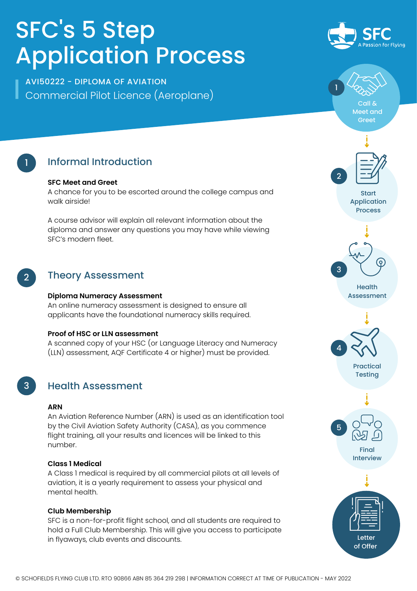# SFC' s 5 Step Application Process

Commercial Pilot Licence (Aeroplane) AVI50222 - DIPLOMA OF AVIATION



Call & Meet and Greet

1



## Informal Introduction

#### **SFC Meet and Greet**

A chance for you to be escorted around the college campus and walk airside!

A course advisor will explain all relevant information about the diploma and answer any questions you may have while viewing SFC's modern fleet.

#### 2 Theory Assessment

#### **Diploma Numeracy Assessment**

An online numeracy assessment is designed to ensure all applicants have the foundational numeracy skills required.

#### **Proof of HSC or LLN assessment**

A scanned copy of your HSC (or Language Literacy and Numeracy (LLN) assessment, AQF Certificate 4 or higher) must be provided.

3

### Health Assessment

#### **ARN**

An Aviation Reference Number (ARN) is used as an identification tool by the Civil Aviation Safety Authority (CASA), as you commence flight training, all your results and licences will be linked to this number.

#### **Class 1 Medical**

A Class 1 medical is required by all commercial pilots at all levels of aviation, it is a yearly requirement to assess your physical and mental health.

#### **Club Membership**

SFC is a non-for-profit flight school, and all students are required to hold a Full Club Membership. This will give you access to participate in flyaways, club events and discounts.



Start Application Process



**Health** Assessment



Practical **Testing**